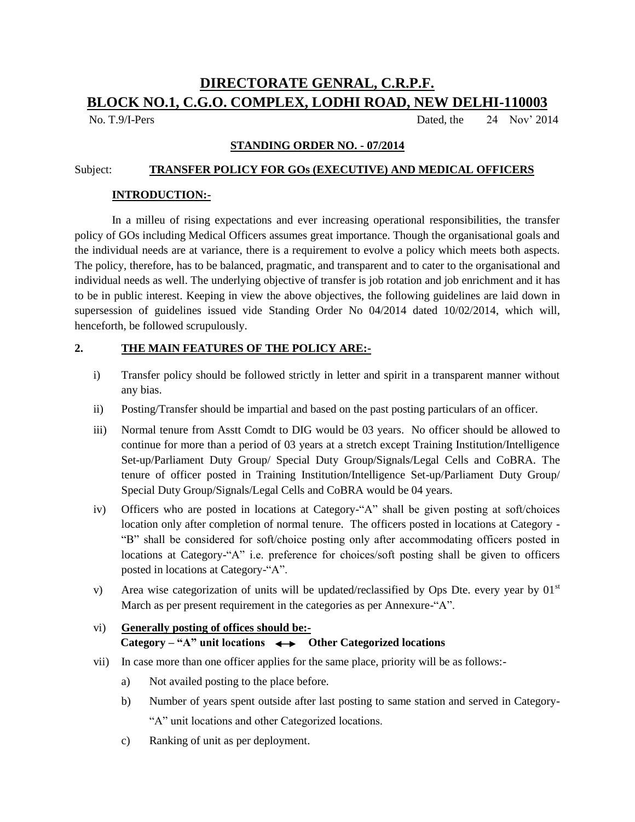# **DIRECTORATE GENRAL, C.R.P.F. BLOCK NO.1, C.G.O. COMPLEX, LODHI ROAD, NEW DELHI-110003**

No. T.9/I-Pers Dated, the 24 Nov' 2014

#### **STANDING ORDER NO. - 07/2014**

#### Subject: **TRANSFER POLICY FOR GOs (EXECUTIVE) AND MEDICAL OFFICERS**

#### **INTRODUCTION:-**

In a milleu of rising expectations and ever increasing operational responsibilities, the transfer policy of GOs including Medical Officers assumes great importance. Though the organisational goals and the individual needs are at variance, there is a requirement to evolve a policy which meets both aspects. The policy, therefore, has to be balanced, pragmatic, and transparent and to cater to the organisational and individual needs as well. The underlying objective of transfer is job rotation and job enrichment and it has to be in public interest. Keeping in view the above objectives, the following guidelines are laid down in supersession of guidelines issued vide Standing Order No 04/2014 dated 10/02/2014, which will, henceforth, be followed scrupulously.

#### **2. THE MAIN FEATURES OF THE POLICY ARE:-**

- i) Transfer policy should be followed strictly in letter and spirit in a transparent manner without any bias.
- ii) Posting/Transfer should be impartial and based on the past posting particulars of an officer.
- iii) Normal tenure from Asstt Comdt to DIG would be 03 years. No officer should be allowed to continue for more than a period of 03 years at a stretch except Training Institution/Intelligence Set-up/Parliament Duty Group/ Special Duty Group/Signals/Legal Cells and CoBRA. The tenure of officer posted in Training Institution/Intelligence Set-up/Parliament Duty Group/ Special Duty Group/Signals/Legal Cells and CoBRA would be 04 years.
- iv) Officers who are posted in locations at Category-"A" shall be given posting at soft/choices location only after completion of normal tenure. The officers posted in locations at Category - "B" shall be considered for soft/choice posting only after accommodating officers posted in locations at Category-"A" i.e. preference for choices/soft posting shall be given to officers posted in locations at Category-"A".
- v) Area wise categorization of units will be updated/reclassified by Ops Dte. every year by  $01<sup>st</sup>$ March as per present requirement in the categories as per Annexure-"A".

# vi) **Generally posting of offices should be:- Category – "A" unit locations**  $\longleftrightarrow$  Other Categorized locations

- vii) In case more than one officer applies for the same place, priority will be as follows:
	- a) Not availed posting to the place before.
	- b) Number of years spent outside after last posting to same station and served in Category- "A" unit locations and other Categorized locations.
	- c) Ranking of unit as per deployment.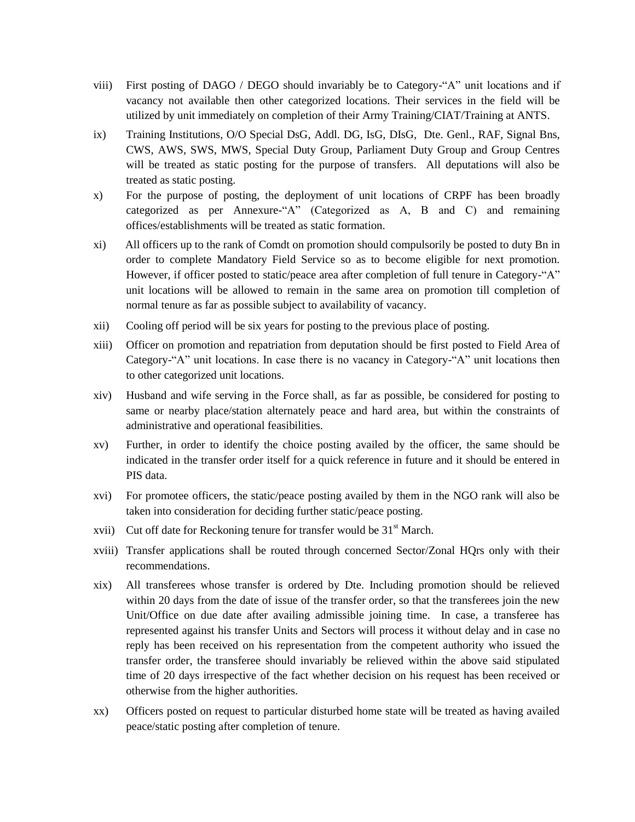- viii) First posting of DAGO / DEGO should invariably be to Category-"A" unit locations and if vacancy not available then other categorized locations. Their services in the field will be utilized by unit immediately on completion of their Army Training/CIAT/Training at ANTS.
- ix) Training Institutions, O/O Special DsG, Addl. DG, IsG, DIsG, Dte. Genl., RAF, Signal Bns, CWS, AWS, SWS, MWS, Special Duty Group, Parliament Duty Group and Group Centres will be treated as static posting for the purpose of transfers. All deputations will also be treated as static posting.
- x) For the purpose of posting, the deployment of unit locations of CRPF has been broadly categorized as per Annexure-"A" (Categorized as A, B and C) and remaining offices/establishments will be treated as static formation.
- xi) All officers up to the rank of Comdt on promotion should compulsorily be posted to duty Bn in order to complete Mandatory Field Service so as to become eligible for next promotion. However, if officer posted to static/peace area after completion of full tenure in Category-"A" unit locations will be allowed to remain in the same area on promotion till completion of normal tenure as far as possible subject to availability of vacancy.
- xii) Cooling off period will be six years for posting to the previous place of posting.
- xiii) Officer on promotion and repatriation from deputation should be first posted to Field Area of Category-"A" unit locations. In case there is no vacancy in Category-"A" unit locations then to other categorized unit locations.
- xiv) Husband and wife serving in the Force shall, as far as possible, be considered for posting to same or nearby place/station alternately peace and hard area, but within the constraints of administrative and operational feasibilities.
- xv) Further, in order to identify the choice posting availed by the officer, the same should be indicated in the transfer order itself for a quick reference in future and it should be entered in PIS data.
- xvi) For promotee officers, the static/peace posting availed by them in the NGO rank will also be taken into consideration for deciding further static/peace posting.
- xvii) Cut off date for Reckoning tenure for transfer would be  $31<sup>st</sup>$  March.
- xviii) Transfer applications shall be routed through concerned Sector/Zonal HQrs only with their recommendations.
- xix) All transferees whose transfer is ordered by Dte. Including promotion should be relieved within 20 days from the date of issue of the transfer order, so that the transferees join the new Unit/Office on due date after availing admissible joining time. In case, a transferee has represented against his transfer Units and Sectors will process it without delay and in case no reply has been received on his representation from the competent authority who issued the transfer order, the transferee should invariably be relieved within the above said stipulated time of 20 days irrespective of the fact whether decision on his request has been received or otherwise from the higher authorities.
- xx) Officers posted on request to particular disturbed home state will be treated as having availed peace/static posting after completion of tenure.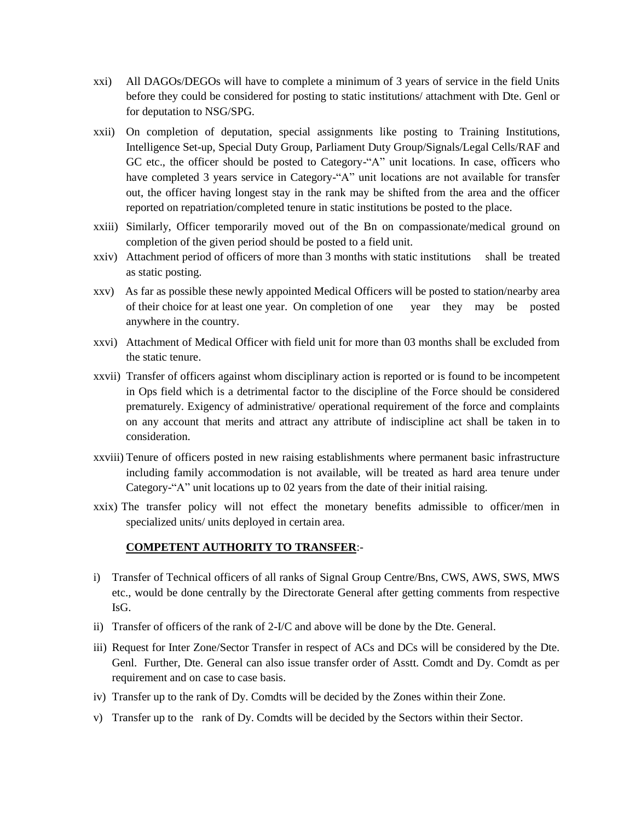- xxi) All DAGOs/DEGOs will have to complete a minimum of 3 years of service in the field Units before they could be considered for posting to static institutions/ attachment with Dte. Genl or for deputation to NSG/SPG.
- xxii) On completion of deputation, special assignments like posting to Training Institutions, Intelligence Set-up, Special Duty Group, Parliament Duty Group/Signals/Legal Cells/RAF and GC etc., the officer should be posted to Category-"A" unit locations. In case, officers who have completed 3 years service in Category-"A" unit locations are not available for transfer out, the officer having longest stay in the rank may be shifted from the area and the officer reported on repatriation/completed tenure in static institutions be posted to the place.
- xxiii) Similarly, Officer temporarily moved out of the Bn on compassionate/medical ground on completion of the given period should be posted to a field unit.
- xxiv) Attachment period of officers of more than 3 months with static institutions shall be treated as static posting.
- xxv) As far as possible these newly appointed Medical Officers will be posted to station/nearby area of their choice for at least one year. On completion of one year they may be posted anywhere in the country.
- xxvi) Attachment of Medical Officer with field unit for more than 03 months shall be excluded from the static tenure.
- xxvii) Transfer of officers against whom disciplinary action is reported or is found to be incompetent in Ops field which is a detrimental factor to the discipline of the Force should be considered prematurely. Exigency of administrative/ operational requirement of the force and complaints on any account that merits and attract any attribute of indiscipline act shall be taken in to consideration.
- xxviii) Tenure of officers posted in new raising establishments where permanent basic infrastructure including family accommodation is not available, will be treated as hard area tenure under Category-"A" unit locations up to 02 years from the date of their initial raising.
- xxix) The transfer policy will not effect the monetary benefits admissible to officer/men in specialized units/ units deployed in certain area.

#### **COMPETENT AUTHORITY TO TRANSFER**:-

- i) Transfer of Technical officers of all ranks of Signal Group Centre/Bns, CWS, AWS, SWS, MWS etc., would be done centrally by the Directorate General after getting comments from respective IsG.
- ii) Transfer of officers of the rank of 2-I/C and above will be done by the Dte. General.
- iii) Request for Inter Zone/Sector Transfer in respect of ACs and DCs will be considered by the Dte. Genl. Further, Dte. General can also issue transfer order of Asstt. Comdt and Dy. Comdt as per requirement and on case to case basis.
- iv) Transfer up to the rank of Dy. Comdts will be decided by the Zones within their Zone.
- v) Transfer up to the rank of Dy. Comdts will be decided by the Sectors within their Sector.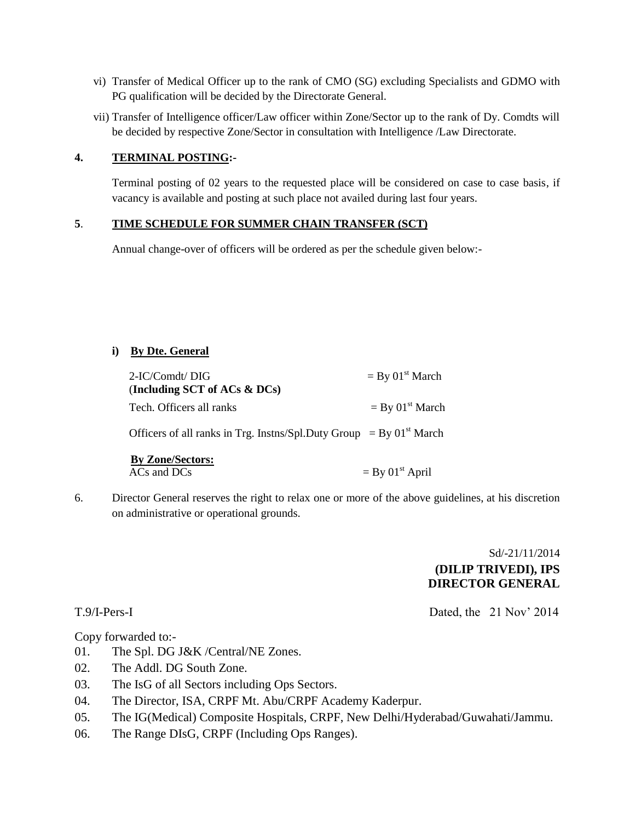- vi) Transfer of Medical Officer up to the rank of CMO (SG) excluding Specialists and GDMO with PG qualification will be decided by the Directorate General.
- vii) Transfer of Intelligence officer/Law officer within Zone/Sector up to the rank of Dy. Comdts will be decided by respective Zone/Sector in consultation with Intelligence /Law Directorate.

### **4. TERMINAL POSTING:-**

Terminal posting of 02 years to the requested place will be considered on case to case basis, if vacancy is available and posting at such place not availed during last four years.

## **5**. **TIME SCHEDULE FOR SUMMER CHAIN TRANSFER (SCT)**

Annual change-over of officers will be ordered as per the schedule given below:-

## **i) By Dte. General**

| $2-IC/Comdt/DIG$<br>(Including SCT of ACs $\&$ DCs) | $=$ By 01 <sup>st</sup> March |
|-----------------------------------------------------|-------------------------------|
| Tech. Officers all ranks                            | $=$ By 01 <sup>st</sup> March |

Officers of all ranks in Trg. Instns/Spl.Duty Group = By  $01<sup>st</sup>$  March

| <b>By Zone/Sectors:</b> |                               |
|-------------------------|-------------------------------|
| $ACs$ and $DCs$         | $=$ By 01 <sup>st</sup> April |

6. Director General reserves the right to relax one or more of the above guidelines, at his discretion on administrative or operational grounds.

# Sd/-21/11/2014 **(DILIP TRIVEDI), IPS DIRECTOR GENERAL**

T.9/I-Pers-I Dated, the 21 Nov' 2014

Copy forwarded to:-

- 01. The Spl. DG J&K /Central/NE Zones.
- 02. The Addl. DG South Zone.
- 03. The IsG of all Sectors including Ops Sectors.
- 04. The Director, ISA, CRPF Mt. Abu/CRPF Academy Kaderpur.
- 05. The IG(Medical) Composite Hospitals, CRPF, New Delhi/Hyderabad/Guwahati/Jammu.
- 06. The Range DIsG, CRPF (Including Ops Ranges).